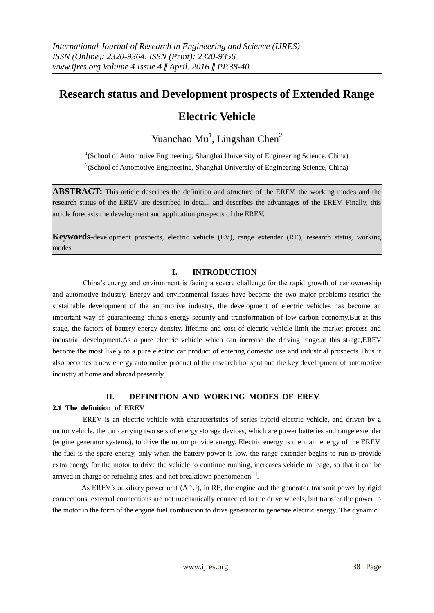## **Research status and Development prospects of Extended Range**

# **Electric Vehicle**

## Yuanchao Mu<sup>1</sup>, Lingshan Chen<sup>2</sup>

<sup>1</sup>(School of Automotive Engineering, Shanghai University of Engineering Science, China)  $2$ (School of Automotive Engineering, Shanghai University of Engineering Science, China)

**ABSTRACT:-**This article describes the definition and structure of the EREV, the working modes and the research status of the EREV are described in detail, and describes the advantages of the EREV. Finally, this article forecasts the development and application prospects of the EREV.

**Keywords-**development prospects, electric vehicle (EV), range extender (RE), research status, working modes

### **I. INTRODUCTION**

China's energy and environment is facing a severe challenge for the rapid growth of car ownership and automotive industry. Energy and environmental issues have become the two major problems restrict the sustainable development of the automotive industry, the development of electric vehicles has become an important way of guaranteeing china's energy security and transformation of low carbon economy.But at this stage, the factors of battery energy density, lifetime and cost of electric vehicle limit the market process and industrial development.As a pure electric vehicle which can increase the driving range,at this st-age,EREV become the most likely to a pure electric car product of entering domestic use and industrial prospects.Thus it also becomes a new energy automotive product of the research hot spot and the key development of automotive industry at home and abroad presently.

#### **II. DEFINITION AND WORKING MODES OF EREV**

#### **2.1 The definition of EREV**

EREV is an electric vehicle with characteristics of series hybrid electric vehicle, and driven by a motor vehicle, the car carrying two sets of energy storage devices, which are power batteries and range extender (engine generator systems), to drive the motor provide energy. Electric energy is the main energy of the EREV, the fuel is the spare energy, only when the battery power is low, the range extender begins to run to provide extra energy for the motor to drive the vehicle to continue running, increases vehicle mileage, so that it can be arrived in charge or refueling sites, and not breakdown phenomenon $^{[1]}$ .

 As EREV's auxiliary power unit (APU), in RE, the engine and the generator transmit power by rigid connections, external connections are not mechanically connected to the drive wheels, but transfer the power to the motor in the form of the engine fuel combustion to drive generator to generate electric energy. The dynamic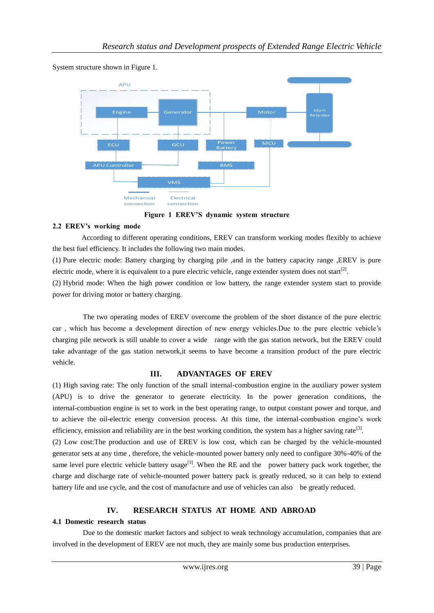

System structure shown in Figure 1.



#### **2.2 EREV's working mode**

 According to different operating conditions, EREV can transform working modes flexibly to achieve the best fuel efficiency. It includes the following two main modes.

(1) Pure electric mode: Battery charging by charging pile ,and in the battery capacity range ,EREV is pure electric mode, where it is equivalent to a pure electric vehicle, range extender system does not start<sup>[2]</sup>.

(2) Hybrid mode: When the high power condition or low battery, the range extender system start to provide power for driving motor or battery charging.

The two operating modes of EREV overcome the problem of the short distance of the pure electric car , which has become a development direction of new energy vehicles.Due to the pure electric vehicle's charging pile network is still unable to cover a wide range with the gas station network, but the EREV could take advantage of the gas station network,it seems to have become a transition product of the pure electric vehicle.

#### **III. ADVANTAGES OF EREV**

(1) High saving rate: The only function of the small internal-combustion engine in the auxiliary power system (APU) is to drive the generator to generate electricity. In the power generation conditions, the internal-combustion engine is set to work in the best operating range, to output constant power and torque, and to achieve the oil-electric energy conversion process. At this time, the internal-combustion engine's work efficiency, emission and reliability are in the best working condition, the system has a higher saving rate<sup>[3]</sup>.

(2) Low cost:The production and use of EREV is low cost, which can be charged by the vehicle-mounted generator sets at any time , therefore, the vehicle-mounted power battery only need to configure 30%-40% of the same level pure electric vehicle battery usage<sup>[3]</sup>. When the RE and the power battery pack work together, the charge and discharge rate of vehicle-mounted power battery pack is greatly reduced, so it can help to extend battery life and use cycle, and the cost of manufacture and use of vehicles can also be greatly reduced.

### **IV. RESEARCH STATUS AT HOME AND ABROAD**

#### **4.1 Domestic research status**

Due to the domestic market factors and subject to weak technology accumulation, companies that are involved in the development of EREV are not much, they are mainly some bus production enterprises.